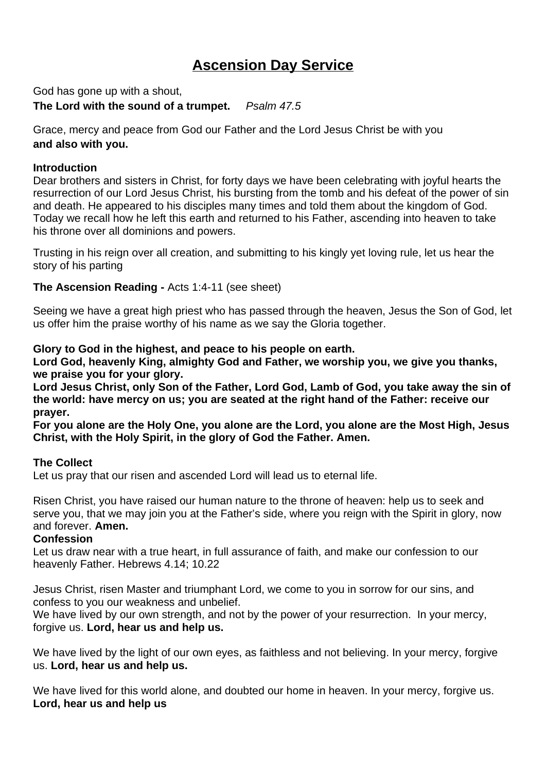# **Ascension Day Service**

God has gone up with a shout, **The Lord with the sound of a trumpet.** *Psalm 47.5*

Grace, mercy and peace from God our Father and the Lord Jesus Christ be with you **and also with you.** 

### **Introduction**

Dear brothers and sisters in Christ, for forty days we have been celebrating with joyful hearts the resurrection of our Lord Jesus Christ, his bursting from the tomb and his defeat of the power of sin and death. He appeared to his disciples many times and told them about the kingdom of God. Today we recall how he left this earth and returned to his Father, ascending into heaven to take his throne over all dominions and powers.

Trusting in his reign over all creation, and submitting to his kingly yet loving rule, let us hear the story of his parting

### **The Ascension Reading -** Acts 1:4-11 (see sheet)

Seeing we have a great high priest who has passed through the heaven, Jesus the Son of God, let us offer him the praise worthy of his name as we say the Gloria together.

#### **Glory to God in the highest, and peace to his people on earth.**

**Lord God, heavenly King, almighty God and Father, we worship you, we give you thanks, we praise you for your glory.** 

**Lord Jesus Christ, only Son of the Father, Lord God, Lamb of God, you take away the sin of the world: have mercy on us; you are seated at the right hand of the Father: receive our prayer.** 

**For you alone are the Holy One, you alone are the Lord, you alone are the Most High, Jesus Christ, with the Holy Spirit, in the glory of God the Father. Amen.**

#### **The Collect**

Let us pray that our risen and ascended Lord will lead us to eternal life.

Risen Christ, you have raised our human nature to the throne of heaven: help us to seek and serve you, that we may join you at the Father's side, where you reign with the Spirit in glory, now and forever. **Amen.**

#### **Confession**

Let us draw near with a true heart, in full assurance of faith, and make our confession to our heavenly Father. Hebrews 4.14; 10.22

Jesus Christ, risen Master and triumphant Lord, we come to you in sorrow for our sins, and confess to you our weakness and unbelief.

We have lived by our own strength, and not by the power of your resurrection. In your mercy, forgive us. **Lord, hear us and help us.**

We have lived by the light of our own eyes, as faithless and not believing. In your mercy, forgive us. **Lord, hear us and help us.**

We have lived for this world alone, and doubted our home in heaven. In your mercy, forgive us. **Lord, hear us and help us**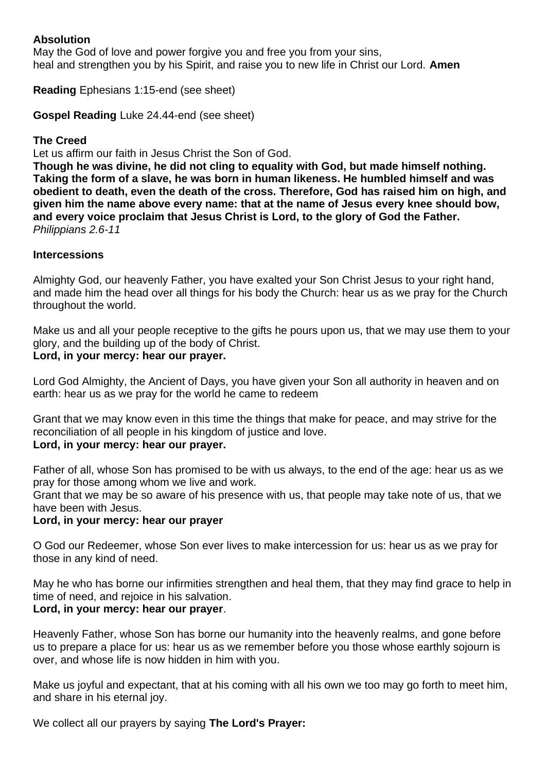### **Absolution**

May the God of love and power forgive you and free you from your sins, heal and strengthen you by his Spirit, and raise you to new life in Christ our Lord. **Amen**

**Reading** Ephesians 1:15-end (see sheet)

**Gospel Reading** Luke 24.44-end (see sheet)

### **The Creed**

Let us affirm our faith in Jesus Christ the Son of God.

**Though he was divine, he did not cling to equality with God, but made himself nothing. Taking the form of a slave, he was born in human likeness. He humbled himself and was obedient to death, even the death of the cross. Therefore, God has raised him on high, and given him the name above every name: that at the name of Jesus every knee should bow, and every voice proclaim that Jesus Christ is Lord, to the glory of God the Father.** *Philippians 2.6-11*

#### **Intercessions**

Almighty God, our heavenly Father, you have exalted your Son Christ Jesus to your right hand, and made him the head over all things for his body the Church: hear us as we pray for the Church throughout the world.

Make us and all your people receptive to the gifts he pours upon us, that we may use them to your glory, and the building up of the body of Christ. **Lord, in your mercy: hear our prayer.**

Lord God Almighty, the Ancient of Days, you have given your Son all authority in heaven and on earth: hear us as we pray for the world he came to redeem

Grant that we may know even in this time the things that make for peace, and may strive for the reconciliation of all people in his kingdom of justice and love. **Lord, in your mercy: hear our prayer.**

Father of all, whose Son has promised to be with us always, to the end of the age: hear us as we pray for those among whom we live and work.

Grant that we may be so aware of his presence with us, that people may take note of us, that we have been with Jesus.

### **Lord, in your mercy: hear our prayer**

O God our Redeemer, whose Son ever lives to make intercession for us: hear us as we pray for those in any kind of need.

May he who has borne our infirmities strengthen and heal them, that they may find grace to help in time of need, and rejoice in his salvation.

#### **Lord, in your mercy: hear our prayer**.

Heavenly Father, whose Son has borne our humanity into the heavenly realms, and gone before us to prepare a place for us: hear us as we remember before you those whose earthly sojourn is over, and whose life is now hidden in him with you.

Make us joyful and expectant, that at his coming with all his own we too may go forth to meet him, and share in his eternal joy.

We collect all our prayers by saying **The Lord's Prayer:**